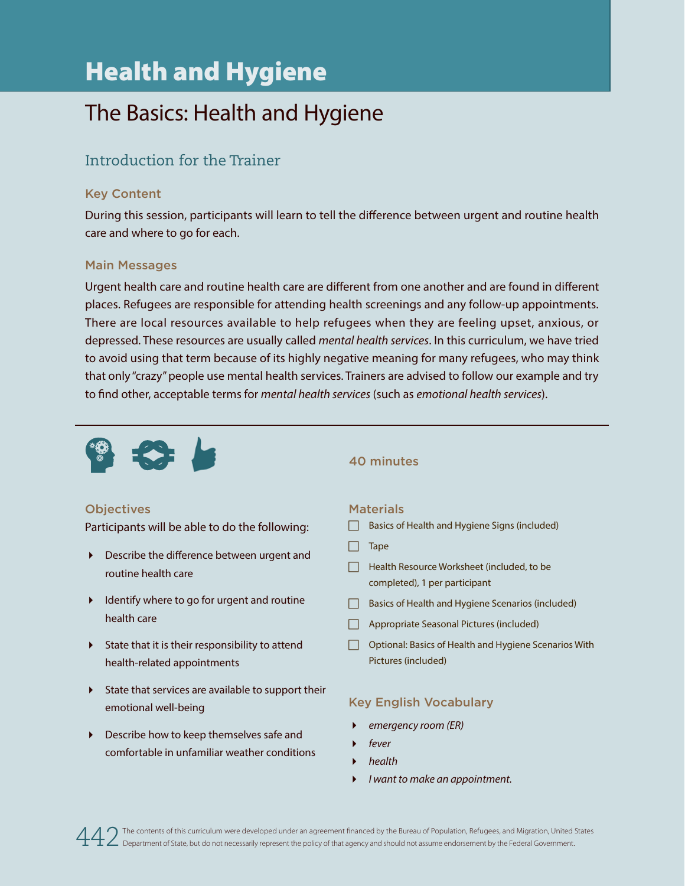# Health and Hygiene

## The Basics: Health and Hygiene

### Introduction for the Trainer

#### Key Content

During this session, participants will learn to tell the difference between urgent and routine health care and where to go for each.

#### Main Messages

Urgent health care and routine health care are different from one another and are found in different places. Refugees are responsible for attending health screenings and any follow-up appointments. There are local resources available to help refugees when they are feeling upset, anxious, or depressed. These resources are usually called *mental health services*. In this curriculum, we have tried to avoid using that term because of its highly negative meaning for many refugees, who may think that only "crazy" people use mental health services. Trainers are advised to follow our example and try to find other, acceptable terms for *mental health services* (such as *emotional health services*).



#### 40 minutes

#### **Objectives**

Participants will be able to do the following:

- Describe the difference between urgent and routine health care
- I Identify where to go for urgent and routine health care
- $\triangleright$  State that it is their responsibility to attend health-related appointments
- $\triangleright$  State that services are available to support their emotional well-being
- Describe how to keep themselves safe and comfortable in unfamiliar weather conditions

#### **Materials**

- Basics of Health and Hygiene Signs (included)
- $\Box$  Tape
- **F** Health Resource Worksheet (included, to be completed), 1 per participant
- $\Box$  Basics of Health and Hygiene Scenarios (included)
- $\Box$  Appropriate Seasonal Pictures (included)
- **F** Optional: Basics of Health and Hygiene Scenarios With Pictures (included)

#### Key English Vocabulary

- *emergency room (ER)*
- *fever*
- *health*
- *I want to make an appointment.*

The contents of this curriculum were developed under an agreement financed by the Bureau of Population, Refugees, and Migration, United States 4 2 The contents of this curriculum were developed under an agreement financed by the Bureau of Population, Refugees, and Migration, United Department of State, but do not necessarily represent the policy of that agency an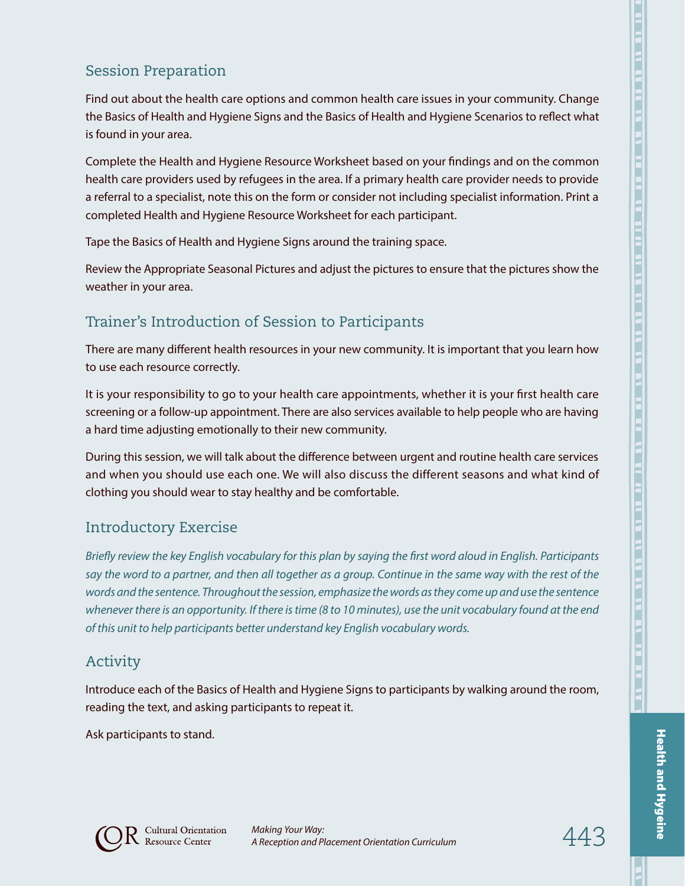### Session Preparation

Find out about the health care options and common health care issues in your community. Change the Basics of Health and Hygiene Signs and the Basics of Health and Hygiene Scenarios to reflect what is found in your area.

Complete the Health and Hygiene Resource Worksheet based on your findings and on the common health care providers used by refugees in the area. If a primary health care provider needs to provide a referral to a specialist, note this on the form or consider not including specialist information. Print a completed Health and Hygiene Resource Worksheet for each participant.

Tape the Basics of Health and Hygiene Signs around the training space.

Review the Appropriate Seasonal Pictures and adjust the pictures to ensure that the pictures show the weather in your area.

## Trainer's Introduction of Session to Participants

There are many different health resources in your new community. It is important that you learn how to use each resource correctly.

It is your responsibility to go to your health care appointments, whether it is your first health care screening or a follow-up appointment. There are also services available to help people who are having a hard time adjusting emotionally to their new community.

During this session, we will talk about the difference between urgent and routine health care services and when you should use each one. We will also discuss the different seasons and what kind of clothing you should wear to stay healthy and be comfortable.

## Introductory Exercise

*Briefly review the key English vocabulary for this plan by saying the first word aloud in English. Participants say the word to a partner, and then all together as a group. Continue in the same way with the rest of the words and the sentence. Throughout the session, emphasize the words as they come up and use the sentence whenever there is an opportunity. If there is time (8 to 10 minutes), use the unit vocabulary found at the end of this unit to help participants better understand key English vocabulary words.*

#### Activity

Introduce each of the Basics of Health and Hygiene Signs to participants by walking around the room, reading the text, and asking participants to repeat it.

Ask participants to stand.





Health and Hygeine

Health and Hygeine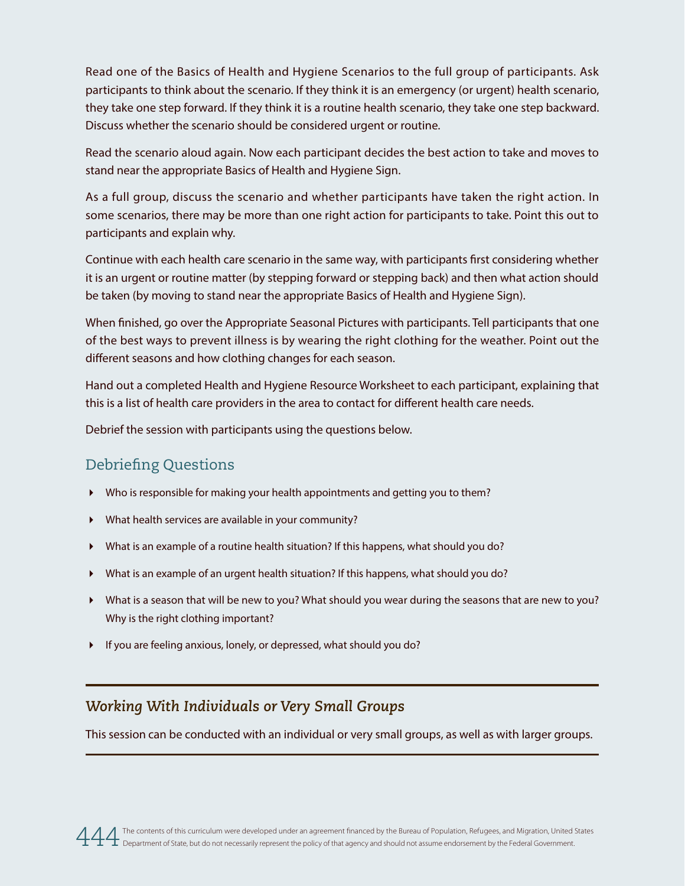Read one of the Basics of Health and Hygiene Scenarios to the full group of participants. Ask participants to think about the scenario. If they think it is an emergency (or urgent) health scenario, they take one step forward. If they think it is a routine health scenario, they take one step backward. Discuss whether the scenario should be considered urgent or routine.

Read the scenario aloud again. Now each participant decides the best action to take and moves to stand near the appropriate Basics of Health and Hygiene Sign.

As a full group, discuss the scenario and whether participants have taken the right action. In some scenarios, there may be more than one right action for participants to take. Point this out to participants and explain why.

Continue with each health care scenario in the same way, with participants first considering whether it is an urgent or routine matter (by stepping forward or stepping back) and then what action should be taken (by moving to stand near the appropriate Basics of Health and Hygiene Sign).

When finished, go over the Appropriate Seasonal Pictures with participants. Tell participants that one of the best ways to prevent illness is by wearing the right clothing for the weather. Point out the different seasons and how clothing changes for each season.

Hand out a completed Health and Hygiene Resource Worksheet to each participant, explaining that this is a list of health care providers in the area to contact for different health care needs.

Debrief the session with participants using the questions below.

#### Debriefing Questions

- Who is responsible for making your health appointments and getting you to them?
- What health services are available in your community?
- What is an example of a routine health situation? If this happens, what should you do?
- What is an example of an urgent health situation? If this happens, what should you do?
- What is a season that will be new to you? What should you wear during the seasons that are new to you? Why is the right clothing important?
- If you are feeling anxious, lonely, or depressed, what should you do?

#### *Working With Individuals or Very Small Groups*

This session can be conducted with an individual or very small groups, as well as with larger groups.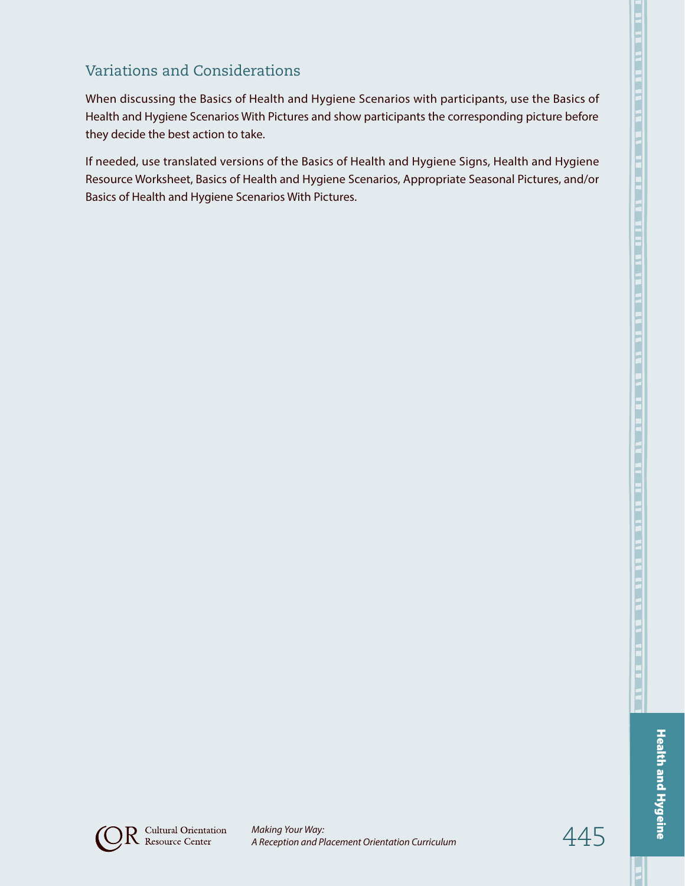When discussing the Basics of Health and Hygiene Scenarios with participants, use the Basics of Health and Hygiene Scenarios With Pictures and show participants the corresponding picture before they decide the best action to take.

If needed, use translated versions of the Basics of Health and Hygiene Signs, Health and Hygiene Resource Worksheet, Basics of Health and Hygiene Scenarios, Appropriate Seasonal Pictures, and/or Basics of Health and Hygiene Scenarios With Pictures.



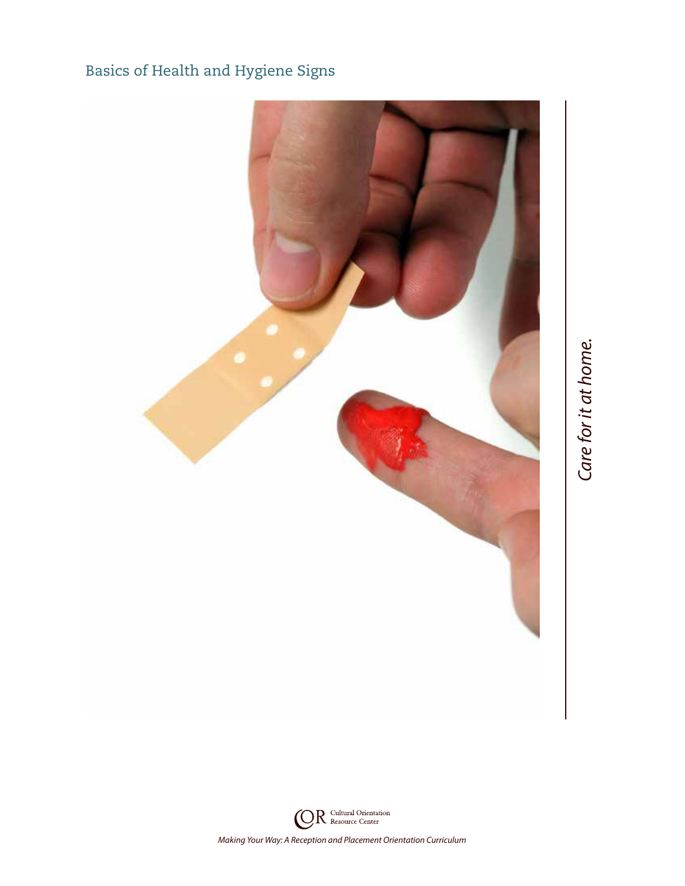## Basics of Health and Hygiene Signs



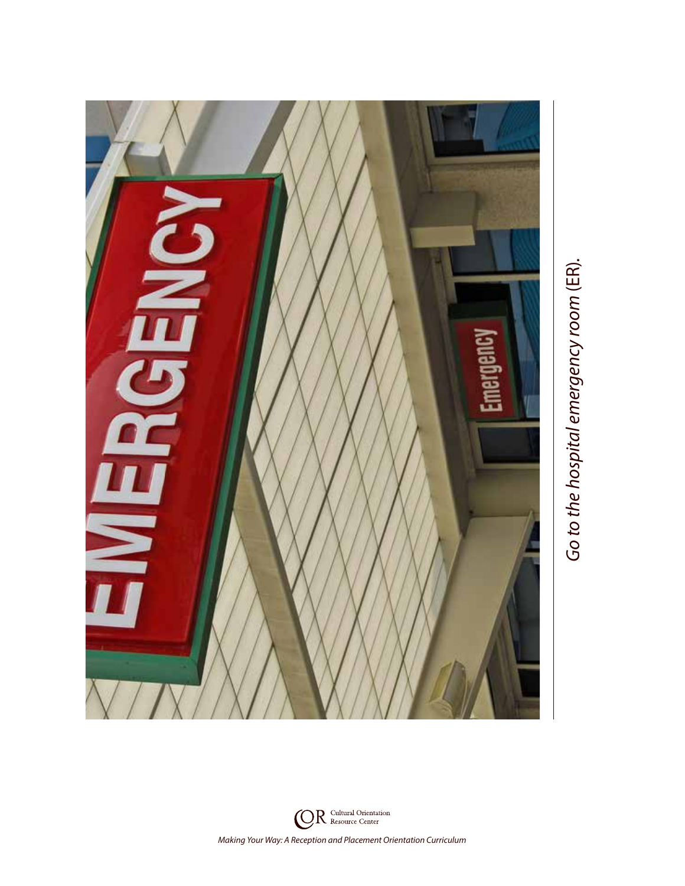

Go to the hospital emergency room (ER). *Go to the hospital emergency room* (ER)*.*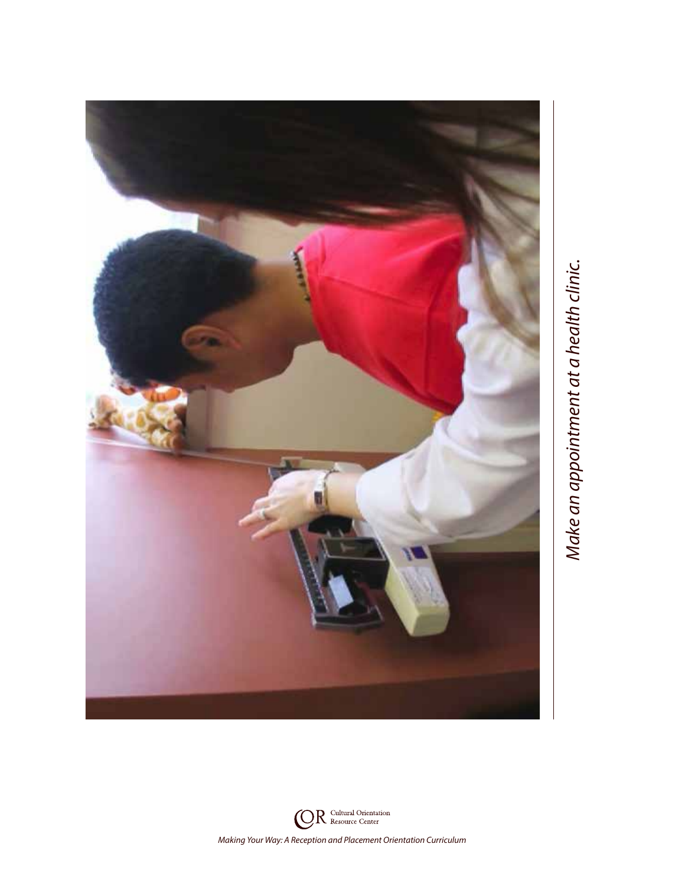

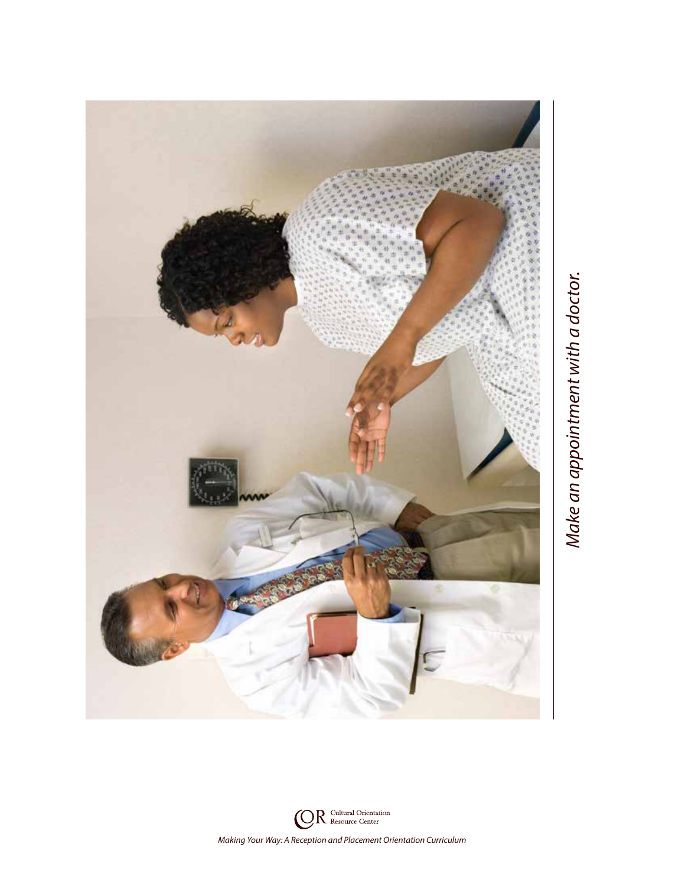

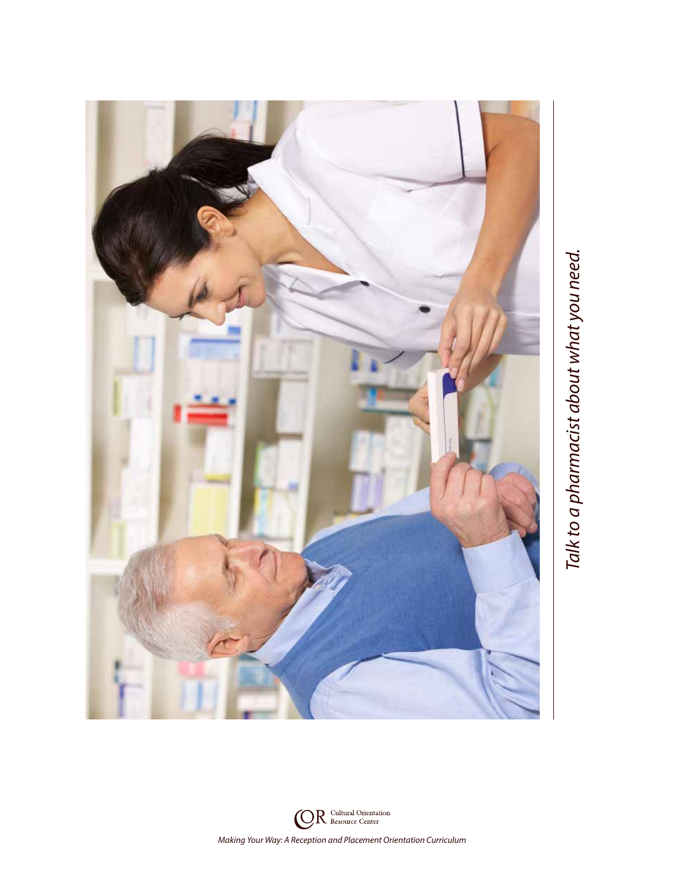

Talk to a pharmacist about what you need. *Talk to a pharmacist about what you need.*

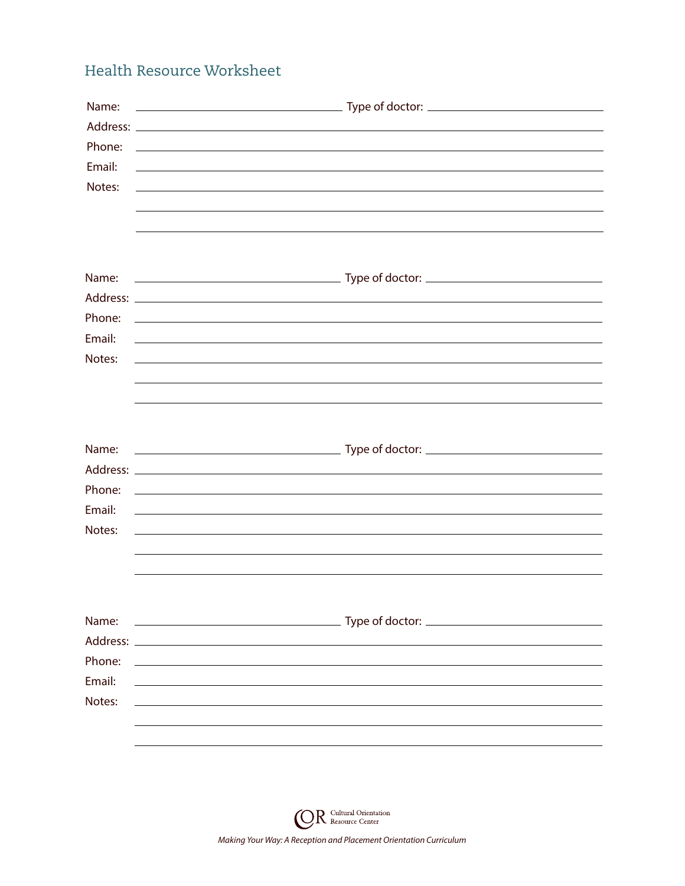## Health Resource Worksheet

| Name:<br>Phone:<br>Email:<br>Notes:             | <u> 1989 - Andrea Stadt Britain, amerikansk politik (d. 1989)</u><br><u> 1989 - Johann Stoff, amerikansk politiker (* 1908)</u><br><u> 1980 - John Stone, amerikansk politiker (* 1980)</u>                                                                                                                                                                                                                                                                                           |
|-------------------------------------------------|---------------------------------------------------------------------------------------------------------------------------------------------------------------------------------------------------------------------------------------------------------------------------------------------------------------------------------------------------------------------------------------------------------------------------------------------------------------------------------------|
| Name:<br>Phone:<br>Email:<br>Notes:             | <u> 1989 - Johann Stoff, deutscher Stoffen und der Stoffen und der Stoffen und der Stoffen und der Stoffen und der Stoffen und der Stoffen und der Stoffen und der Stoffen und der Stoffen und der Stoffen und der Stoffen und d</u><br><u> 1989 - Johann Johann Stoff, deutscher Stoffen und der Stoffen und der Stoffen und der Stoffen und der Stoffen</u><br><u> 1989 - Andrea Santa Andrea Santa Andrea Santa Andrea Santa Andrea Santa Andrea Santa Andrea Santa Andrea San</u> |
| Name:<br>Phone:<br>Email:<br>Notes:             | <u>state and the state of the state of the state of the state of the state of the state of the state of the state of the state of the state of the state of the state of the state of the state of the state of the state of the</u><br>and the control of the control of the control of the control of the control of the control of the control of the                                                                                                                              |
| Name:<br>Address:<br>Phone:<br>Email:<br>Notes: |                                                                                                                                                                                                                                                                                                                                                                                                                                                                                       |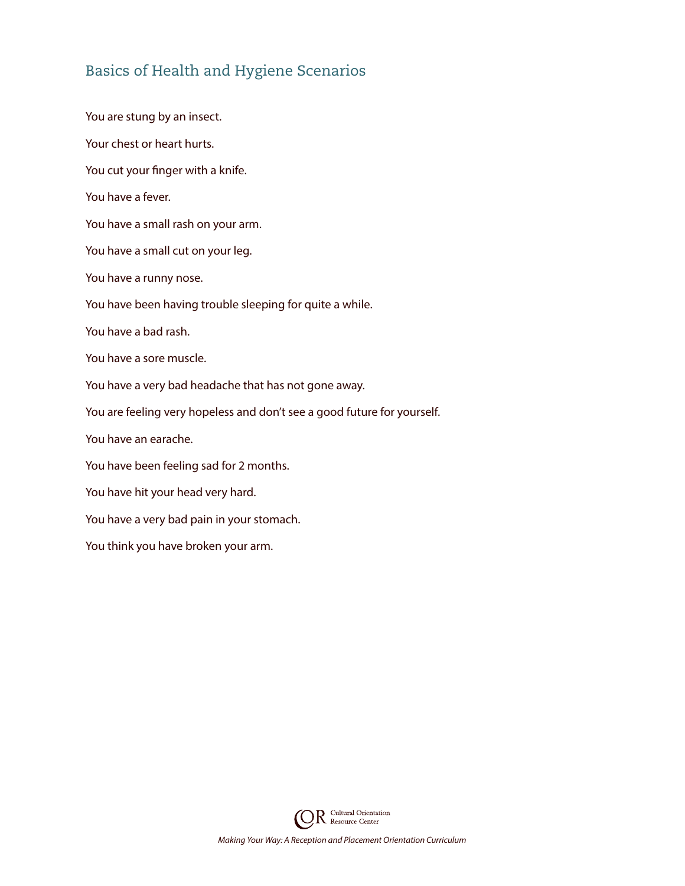#### Basics of Health and Hygiene Scenarios

You are stung by an insect. Your chest or heart hurts. You cut your finger with a knife. You have a fever. You have a small rash on your arm. You have a small cut on your leg. You have a runny nose. You have been having trouble sleeping for quite a while. You have a bad rash. You have a sore muscle. You have a very bad headache that has not gone away. You are feeling very hopeless and don't see a good future for yourself. You have an earache. You have been feeling sad for 2 months. You have hit your head very hard. You have a very bad pain in your stomach. You think you have broken your arm.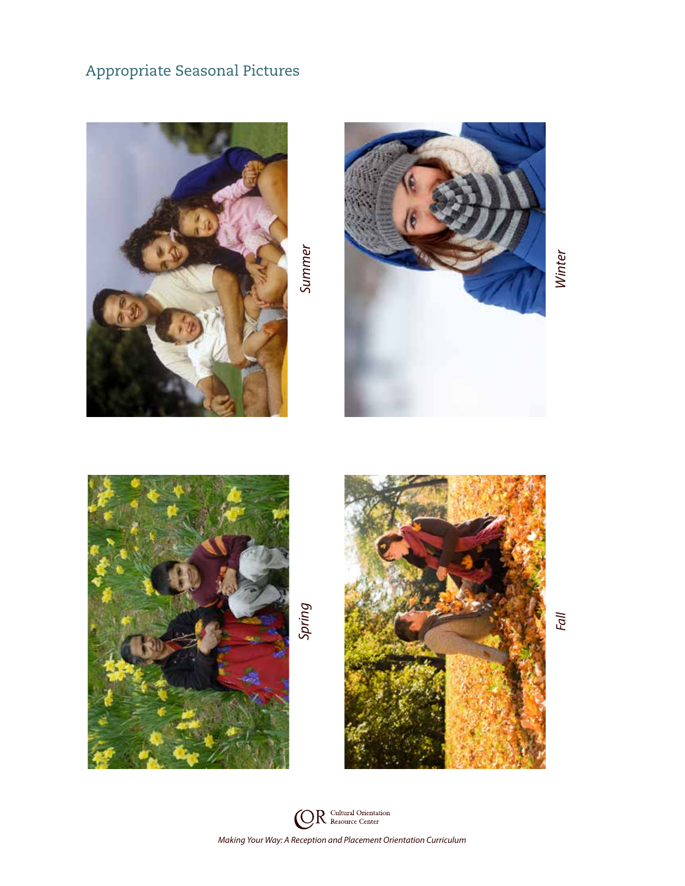## Appropriate Seasonal Pictures





Winter *Fall Winter*





Fall

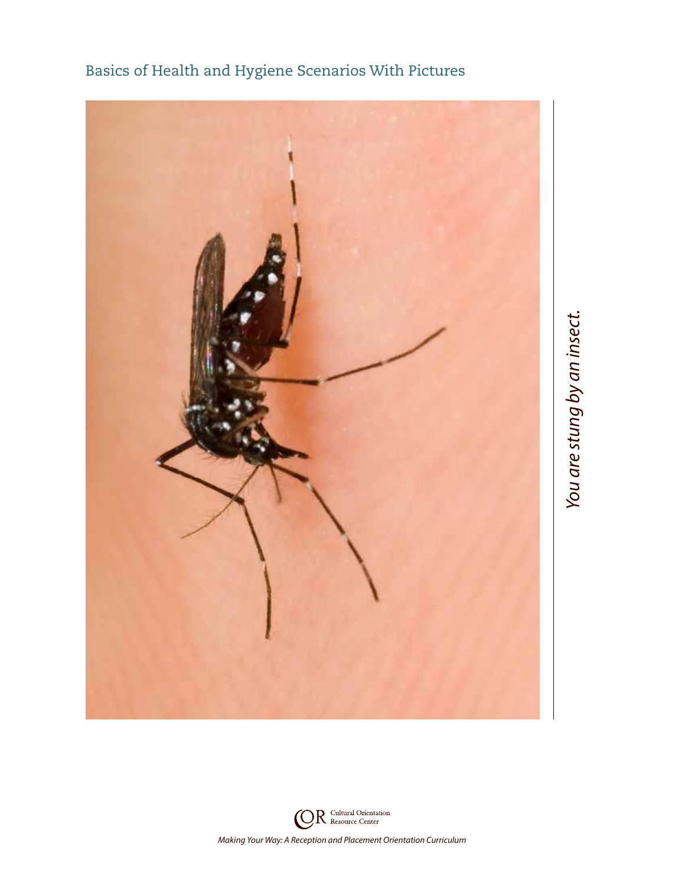

Basics of Health and Hygiene Scenarios With Pictures

**OR** Cultural Orientation *Making Your Way: A Reception and Placement Orientation Curriculum*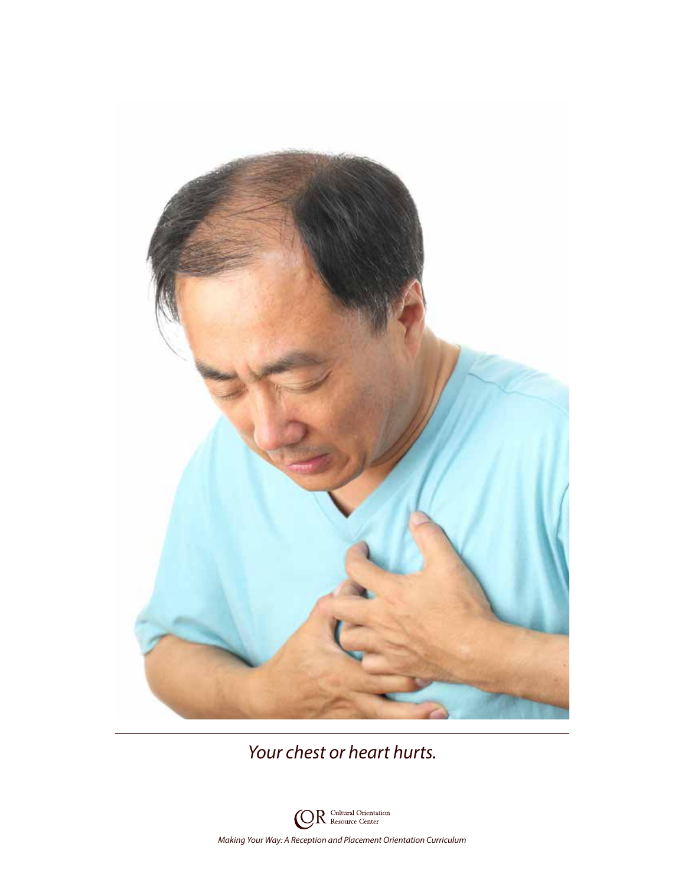

*Your chest or heart hurts.*

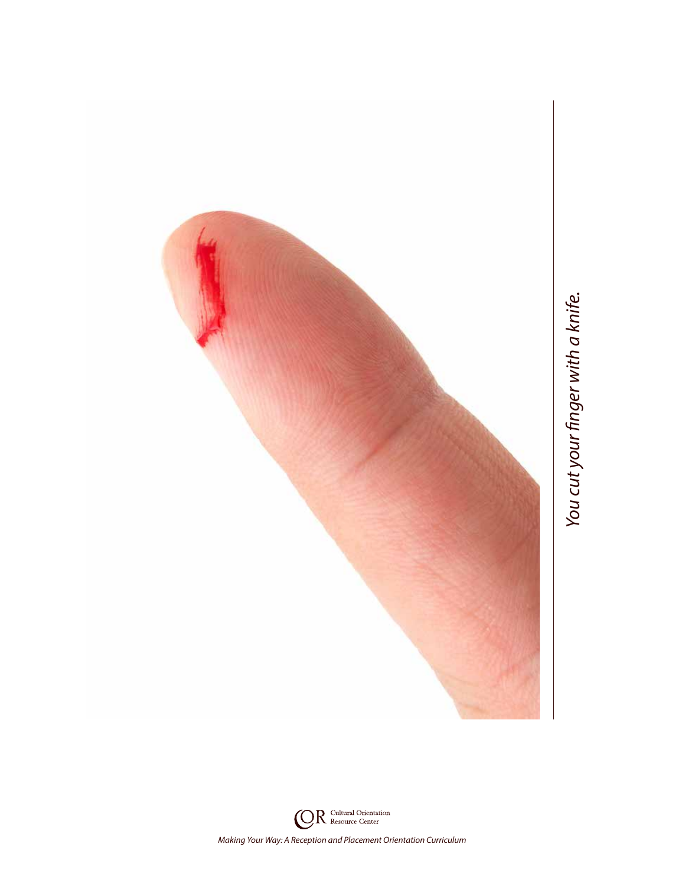

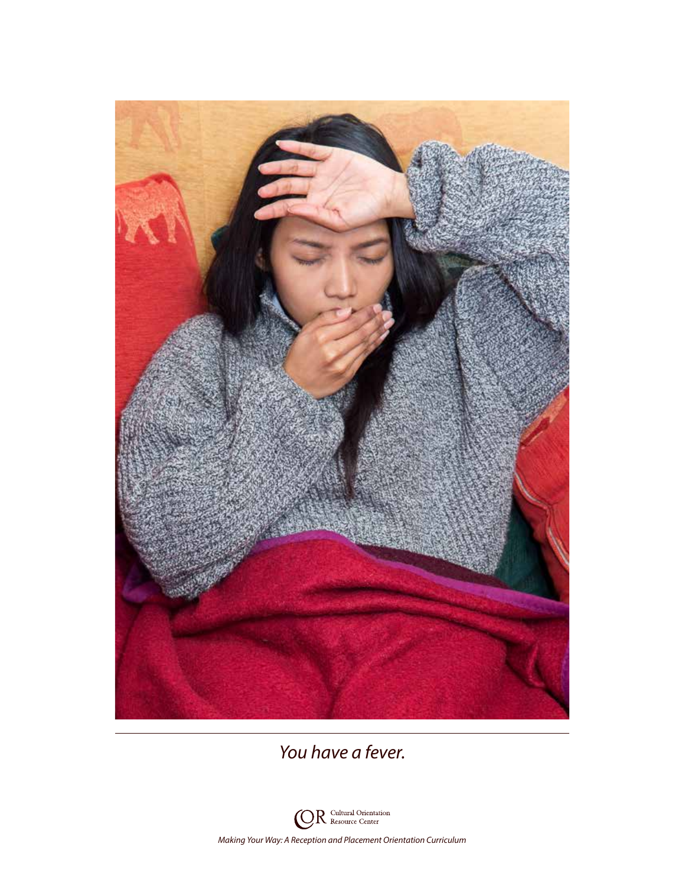

*You have a fever.*

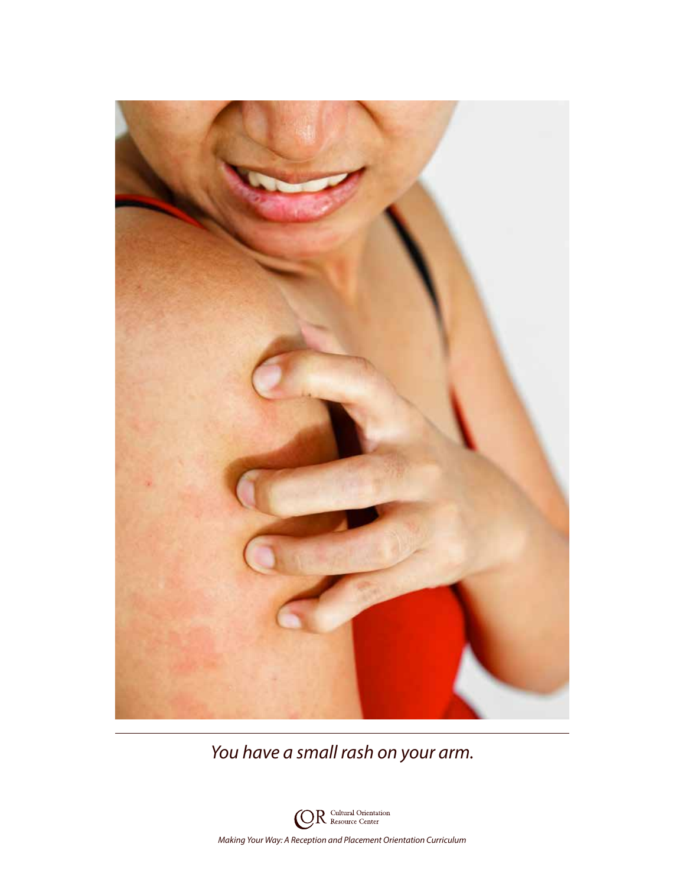

*You have a small rash on your arm.*

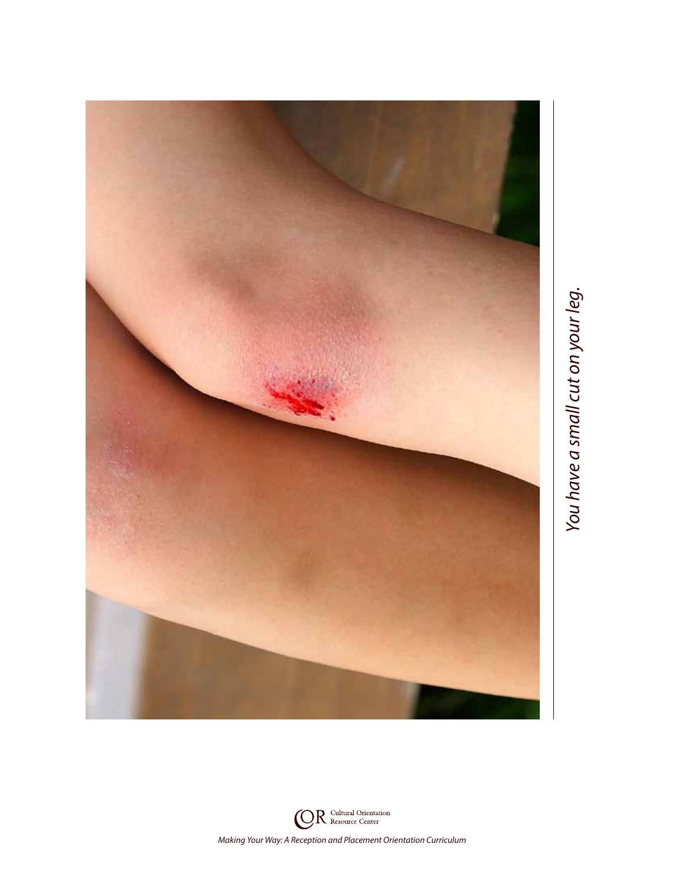

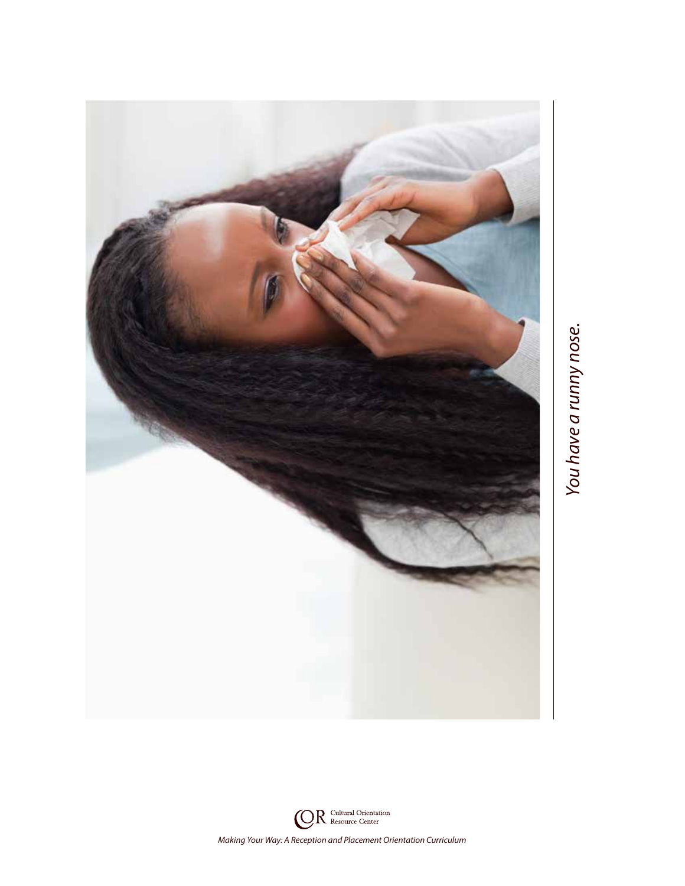

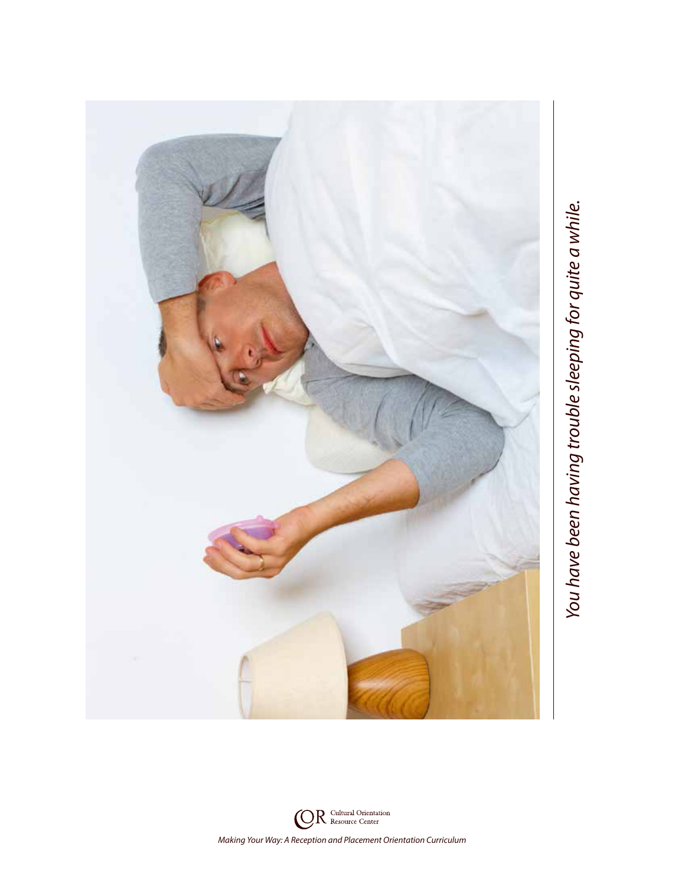

![](_page_19_Picture_2.jpeg)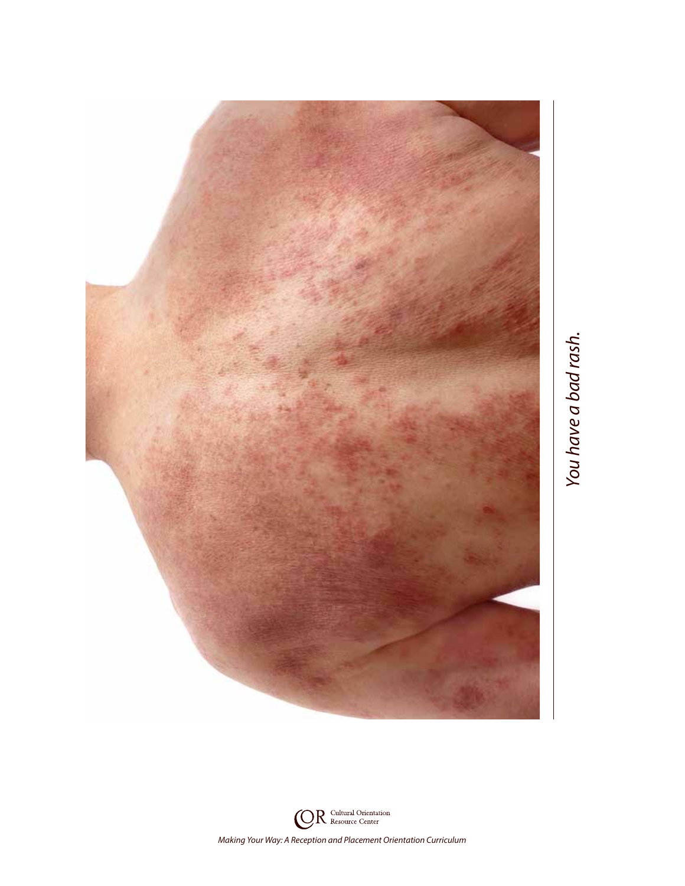![](_page_20_Picture_0.jpeg)

![](_page_20_Picture_2.jpeg)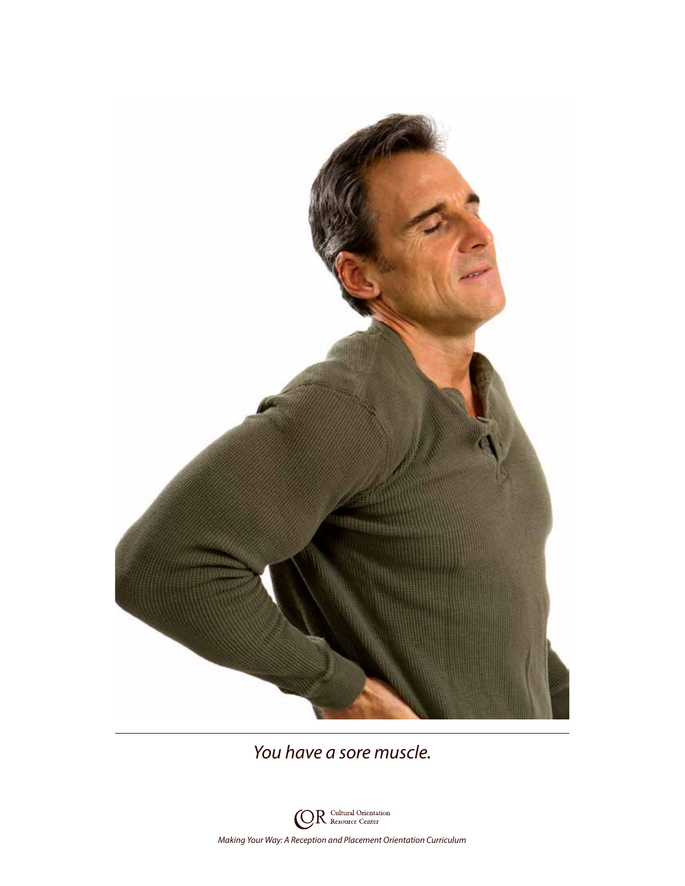![](_page_21_Picture_0.jpeg)

*You have a sore muscle.*

![](_page_21_Picture_2.jpeg)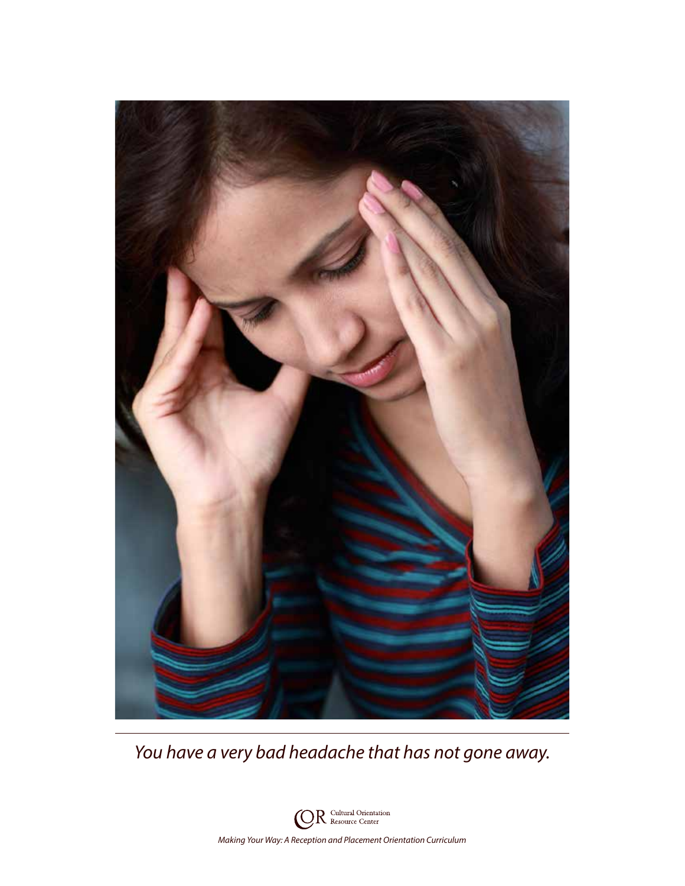![](_page_22_Picture_0.jpeg)

*You have a very bad headache that has not gone away.*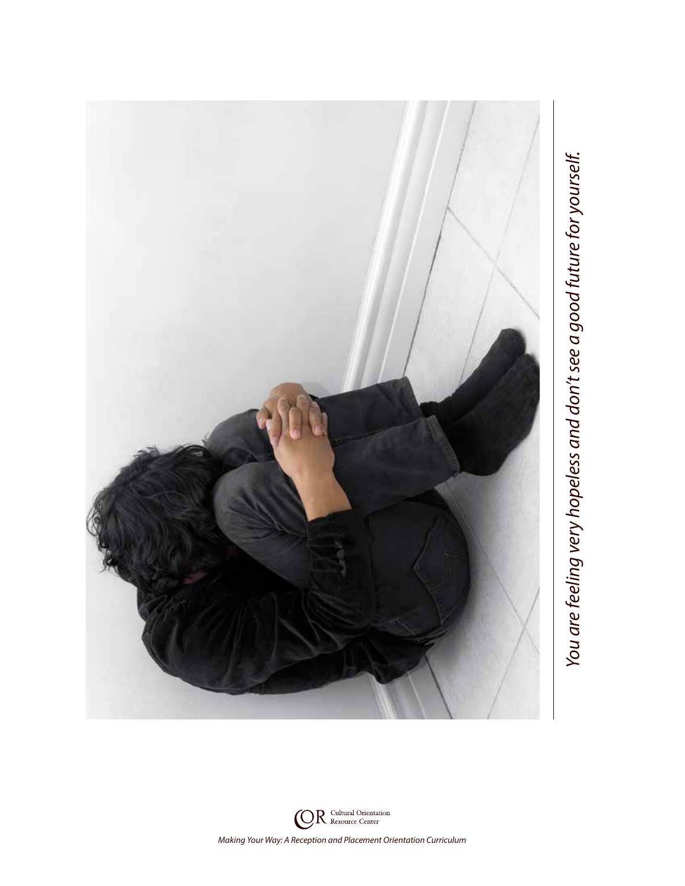![](_page_23_Picture_0.jpeg)

You are feeling very hopeless and don't see a good future for yourself. *You are feeling very hopeless and don't see a good future for yourself.*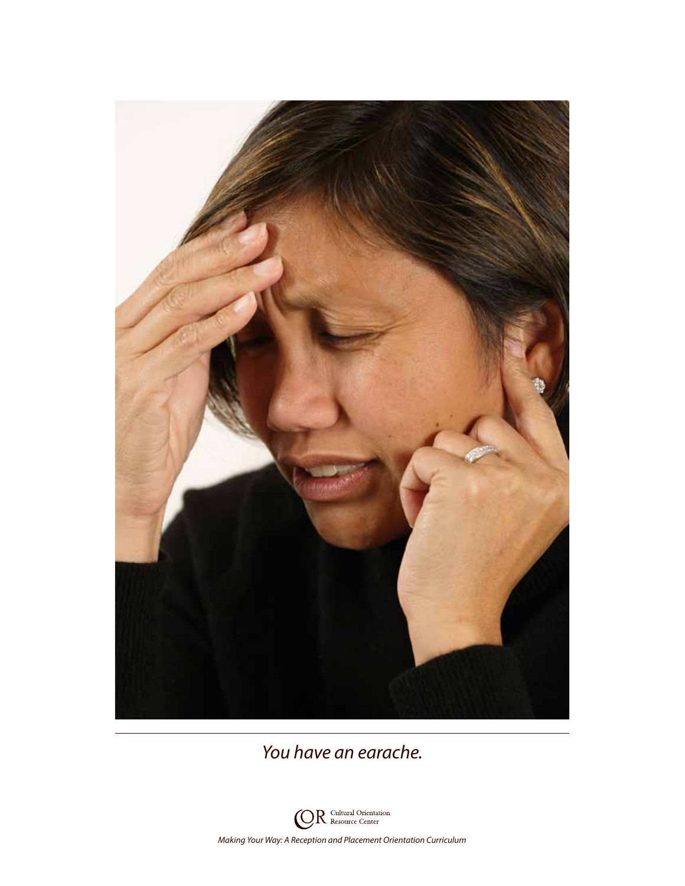![](_page_24_Picture_0.jpeg)

*You have an earache.*

![](_page_24_Picture_2.jpeg)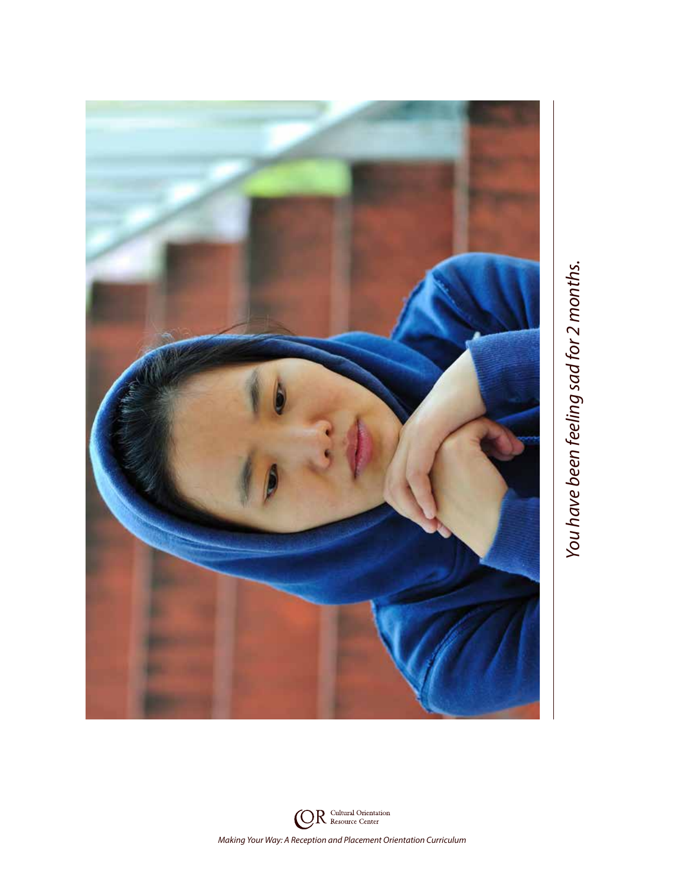![](_page_25_Picture_0.jpeg)

![](_page_25_Picture_2.jpeg)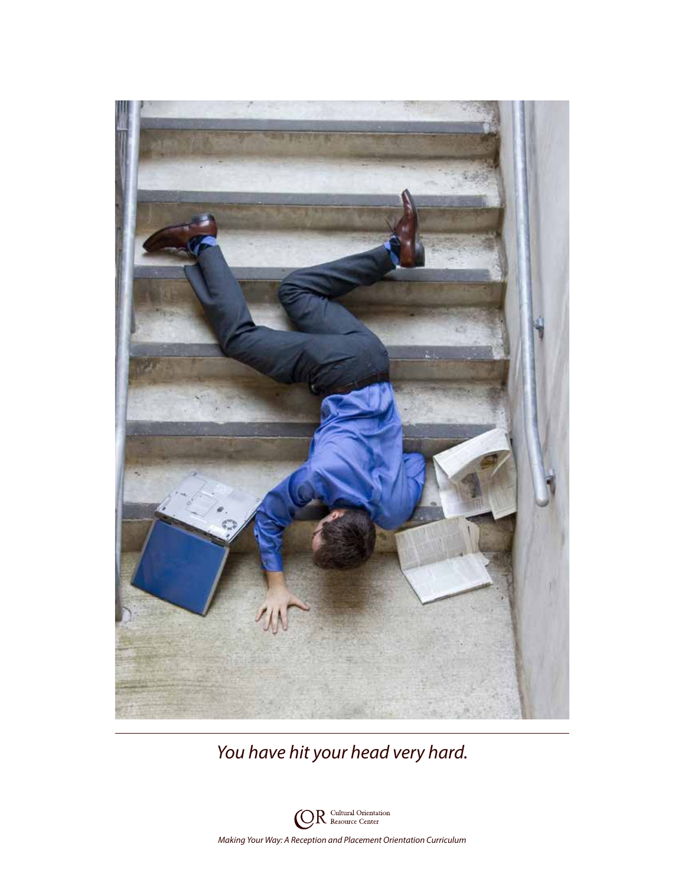![](_page_26_Picture_0.jpeg)

*You have hit your head very hard.*

![](_page_26_Picture_2.jpeg)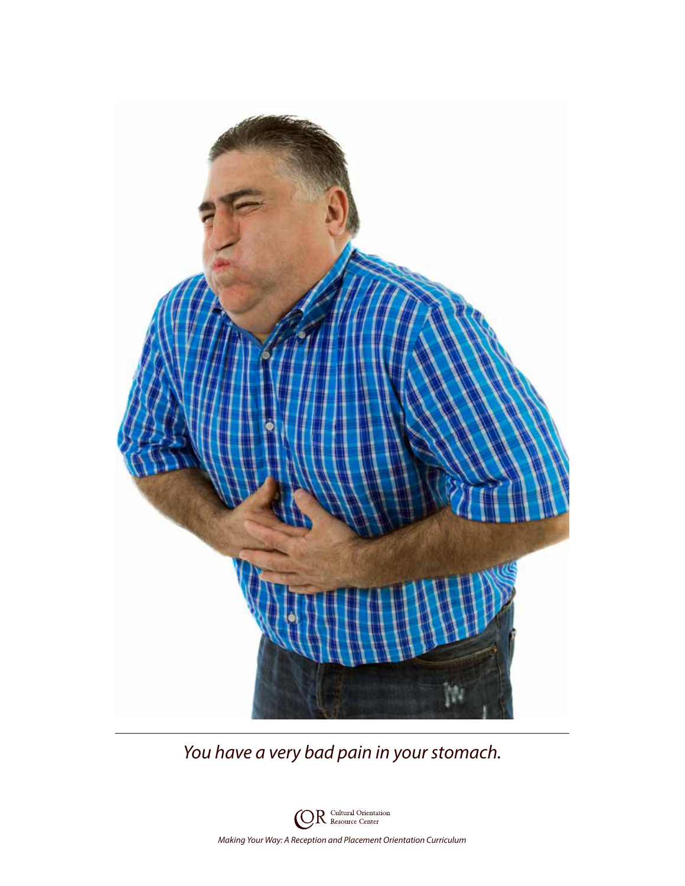![](_page_27_Picture_0.jpeg)

*You have a very bad pain in your stomach.*

![](_page_27_Picture_2.jpeg)